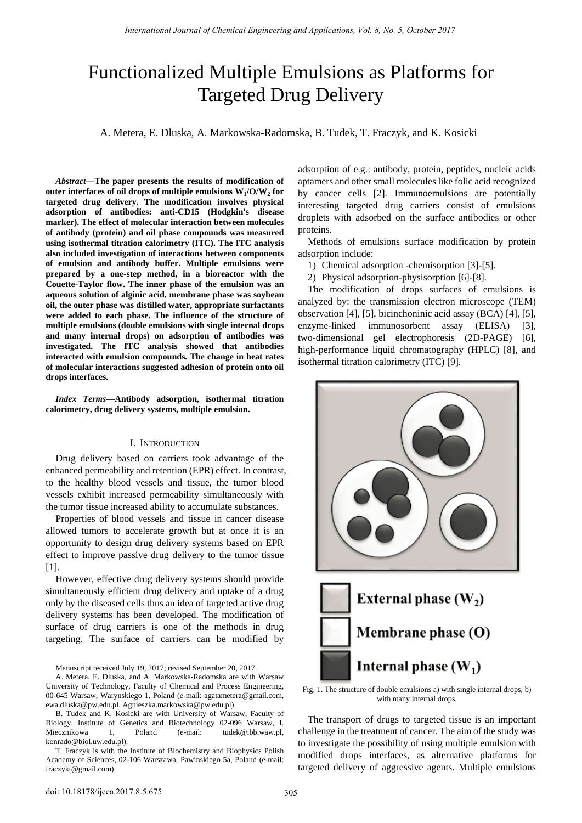# Functionalized Multiple Emulsions as Platforms for Targeted Drug Delivery

A. Metera, E. Dluska, A. Markowska-Radomska, B. Tudek, T. Fraczyk, and K. Kosicki

*Abstract***—The paper presents the results of modification of**  outer interfaces of oil drops of multiple emulsions  $W_1/O/W_2$  for **targeted drug delivery. The modification involves physical adsorption of antibodies: anti-CD15 (Hodgkin's disease marker). The effect of molecular interaction between molecules of antibody (protein) and oil phase compounds was measured using isothermal titration calorimetry (ITC). The ITC analysis also included investigation of interactions between components of emulsion and antibody buffer. Multiple emulsions were prepared by a one-step method, in a bioreactor with the Couette-Taylor flow. The inner phase of the emulsion was an aqueous solution of alginic acid, membrane phase was soybean oil, the outer phase was distilled water, appropriate surfactants were added to each phase. The influence of the structure of multiple emulsions (double emulsions with single internal drops and many internal drops) on adsorption of antibodies was investigated. The ITC analysis showed that antibodies interacted with emulsion compounds. The change in heat rates of molecular interactions suggested adhesion of protein onto oil drops interfaces.** 

*Index Terms***—Antibody adsorption, isothermal titration calorimetry, drug delivery systems, multiple emulsion.** 

## I. INTRODUCTION

Drug delivery based on carriers took advantage of the enhanced permeability and retention (EPR) effect. In contrast, to the healthy blood vessels and tissue, the tumor blood vessels exhibit increased permeability simultaneously with the tumor tissue increased ability to accumulate substances.

Properties of blood vessels and tissue in cancer disease allowed tumors to accelerate growth but at once it is an opportunity to design drug delivery systems based on EPR effect to improve passive drug delivery to the tumor tissue [1].

However, effective drug delivery systems should provide simultaneously efficient drug delivery and uptake of a drug only by the diseased cells thus an idea of targeted active drug delivery systems has been developed. The modification of surface of drug carriers is one of the methods in drug targeting. The surface of carriers can be modified by

Manuscript received July 19, 2017; revised September 20, 2017.

A. Metera, E. Dluska, and A. Markowska-Radomska are with Warsaw University of Technology, Faculty of Chemical and Process Engineering, 00-645 Warsaw, Warynskiego 1, Poland (e-mail: agatametera@gmail.com, ewa.dluska@pw.edu.pl, Agnieszka.markowska@pw.edu.pl).

B. Tudek and K. Kosicki are with University of Warsaw, Faculty of Biology, Institute of Genetics and Biotechnology 02-096 Warsaw, I. Miecznikowa 1, Poland (e-mail: tudek@ibb.waw.pl, konrado@biol.uw.edu.pl).

T. Fraczyk is with the Institute of Biochemistry and Biophysics Polish Academy of Sciences, 02-106 Warszawa, Pawinskiego 5a, Poland (e-mail: fraczykt@gmail.com).

adsorption of e.g.: antibody, protein, peptides, nucleic acids aptamers and other small molecules like folic acid recognized by cancer cells [2]. Immunoemulsions are potentially interesting targeted drug carriers consist of emulsions droplets with adsorbed on the surface antibodies or other proteins.

Methods of emulsions surface modification by protein adsorption include:

- 1) Chemical adsorption -chemisorption [3]-[5].
- 2) Physical adsorption-physisorption [6]-[8].

The modification of drops surfaces of emulsions is analyzed by: the transmission electron microscope (TEM) observation [4], [5], bicinchoninic acid assay (BCA) [4], [5], enzyme-linked immunosorbent assay (ELISA) [3], two-dimensional gel electrophoresis (2D-PAGE) [6], high-performance liquid chromatography (HPLC) [8], and isothermal titration calorimetry (ITC) [9].



Fig. 1. The structure of double emulsions a) with single internal drops, b) with many internal drops.

The transport of drugs to targeted tissue is an important challenge in the treatment of cancer. The aim of the study was to investigate the possibility of using multiple emulsion with modified drops interfaces, as alternative platforms for targeted delivery of aggressive agents. Multiple emulsions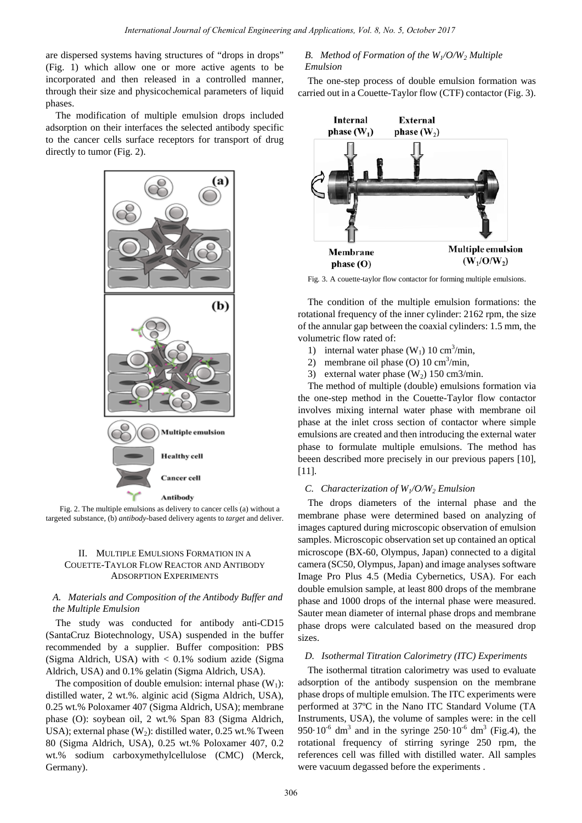are dispersed systems having structures of "drops in drops" (Fig. 1) which allow one or more active agents to be incorporated and then released in a controlled manner, through their size and physicochemical parameters of liquid phases.

The modification of multiple emulsion drops included adsorption on their interfaces the selected antibody specific to the cancer cells surface receptors for transport of drug directly to tumor (Fig. 2).



 Fig. 2. The multiple emulsions as delivery to cancer cells (a) without a targeted substance, (b) *antibody*-based delivery agents to *target* and deliver.

## II. MULTIPLE EMULSIONS FORMATION IN A COUETTE-TAYLOR FLOW REACTOR AND ANTIBODY ADSORPTION EXPERIMENTS

# *A. Materials and Composition of the Antibody Buffer and the Multiple Emulsion*

The study was conducted for antibody anti-CD15 (SantaCruz Biotechnology, USA) suspended in the buffer recommended by a supplier. Buffer composition: PBS (Sigma Aldrich, USA) with  $< 0.1\%$  sodium azide (Sigma Aldrich, USA) and 0.1% gelatin (Sigma Aldrich, USA).

The composition of double emulsion: internal phase  $(W_1)$ : distilled water, 2 wt.%. alginic acid (Sigma Aldrich, USA), 0.25 wt.% Poloxamer 407 (Sigma Aldrich, USA); membrane phase (O): soybean oil, 2 wt.% Span 83 (Sigma Aldrich, USA); external phase  $(W_2)$ : distilled water, 0.25 wt.% Tween 80 (Sigma Aldrich, USA), 0.25 wt.% Poloxamer 407, 0.2 wt.% sodium carboxymethylcellulose (CMC) (Merck, Germany).

## *B. Method of Formation of the W1/O/W2 Multiple Emulsion*

The one-step process of double emulsion formation was carried out in a Couette-Taylor flow (CTF) contactor (Fig. 3).



Fig. 3. A couette-taylor flow contactor for forming multiple emulsions.

The condition of the multiple emulsion formations: the rotational frequency of the inner cylinder: 2162 rpm, the size of the annular gap between the coaxial cylinders: 1.5 mm, the volumetric flow rated of:

- 1) internal water phase  $(W_1)$  10 cm<sup>3</sup>/min,
- 2) membrane oil phase (O)  $10 \text{ cm}^3/\text{min}$ ,
- 3) external water phase  $(W_2)$  150 cm3/min.

The method of multiple (double) emulsions formation via the one-step method in the Couette-Taylor flow contactor involves mixing internal water phase with membrane oil phase at the inlet cross section of contactor where simple emulsions are created and then introducing the external water phase to formulate multiple emulsions. The method has beeen described more precisely in our previous papers [10], [11].

## *C. Characterization of W<sub>1</sub>/O/W<sub>2</sub> <i>Emulsion*

The drops diameters of the internal phase and the membrane phase were determined based on analyzing of images captured during microscopic observation of emulsion samples. Microscopic observation set up contained an optical microscope (BX-60, Olympus, Japan) connected to a digital camera (SC50, Olympus, Japan) and image analyses software Image Pro Plus 4.5 (Media Cybernetics, USA). For each double emulsion sample, at least 800 drops of the membrane phase and 1000 drops of the internal phase were measured. Sauter mean diameter of internal phase drops and membrane phase drops were calculated based on the measured drop sizes.

## *D. Isothermal Titration Calorimetry (ITC) Experiments*

The isothermal titration calorimetry was used to evaluate adsorption of the antibody suspension on the membrane phase drops of multiple emulsion. The ITC experiments were performed at 37ºC in the Nano ITC Standard Volume (TA Instruments, USA), the volume of samples were: in the cell 950 $\cdot$ 10<sup>-6</sup> dm<sup>3</sup> and in the syringe 250 $\cdot$ 10<sup>-6</sup> dm<sup>3</sup> (Fig.4), the rotational frequency of stirring syringe 250 rpm, the references cell was filled with distilled water. All samples were vacuum degassed before the experiments .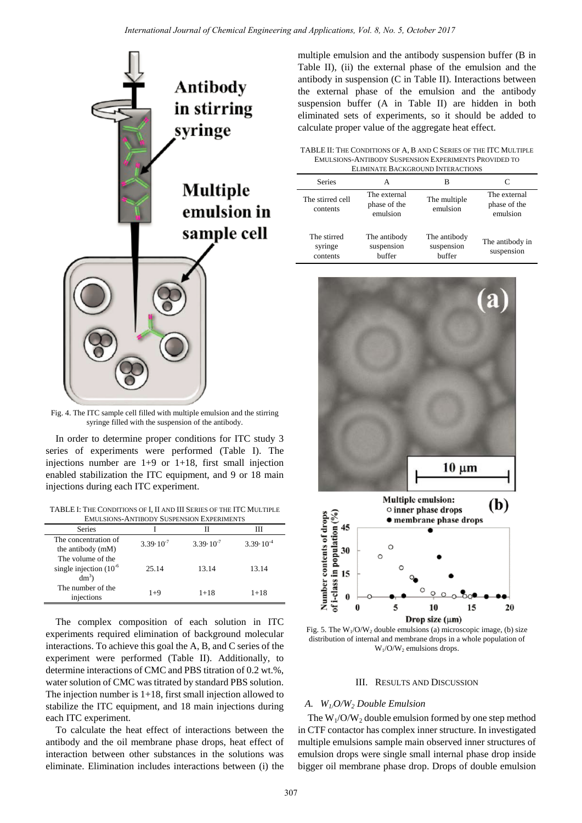

Fig. 4. The ITC sample cell filled with multiple emulsion and the stirring syringe filled with the suspension of the antibody.

In order to determine proper conditions for ITC study 3 series of experiments were performed (Table I). The injections number are 1+9 or 1+18, first small injection enabled stabilization the ITC equipment, and 9 or 18 main injections during each ITC experiment.

TABLE I: THE CONDITIONS OF I, II AND III SERIES OF THE ITC MULTIPLE EMULSIONS-ANTIBODY SUSPENSION EXPERIMENTS

| Series                                                      |                      |                      |                      |
|-------------------------------------------------------------|----------------------|----------------------|----------------------|
| The concentration of<br>the antibody (mM)                   | $3.39 \cdot 10^{-7}$ | $3.39 \cdot 10^{-7}$ | $3.39 \cdot 10^{-4}$ |
| The volume of the<br>single injection $(10^{-6})$<br>$dm^3$ | 25.14                | 13.14                | 13.14                |
| The number of the<br>injections                             | $1+9$                | $1 + 18$             | $1 + 18$             |

The complex composition of each solution in ITC experiments required elimination of background molecular interactions. To achieve this goal the A, B, and C series of the experiment were performed (Table II). Additionally, to determine interactions of CMC and PBS titration of 0.2 wt.%, water solution of CMC was titrated by standard PBS solution. The injection number is 1+18, first small injection allowed to stabilize the ITC equipment, and 18 main injections during each ITC experiment.

To calculate the heat effect of interactions between the antibody and the oil membrane phase drops, heat effect of interaction between other substances in the solutions was eliminate. Elimination includes interactions between (i) the multiple emulsion and the antibody suspension buffer (B in Table II), (ii) the external phase of the emulsion and the antibody in suspension (C in Table II). Interactions between the external phase of the emulsion and the antibody suspension buffer (A in Table II) are hidden in both eliminated sets of experiments, so it should be added to calculate proper value of the aggregate heat effect.

TABLE II: THE CONDITIONS OF A, B AND C SERIES OF THE ITC MULTIPLE EMULSIONS-ANTIBODY SUSPENSION EXPERIMENTS PROVIDED TO ELIMINATE BACKGROUND INTERACTIONS

| ELIMINATE DAUNGROUND INTERACTIONS  |                                          |                                      |                                          |  |
|------------------------------------|------------------------------------------|--------------------------------------|------------------------------------------|--|
| <b>Series</b>                      | А                                        | В                                    |                                          |  |
| The stirred cell<br>contents       | The external<br>phase of the<br>emulsion | The multiple<br>emulsion             | The external<br>phase of the<br>emulsion |  |
| The stirred<br>syringe<br>contents | The antibody<br>suspension<br>buffer     | The antibody<br>suspension<br>buffer | The antibody in<br>suspension            |  |



Fig. 5. The  $W_1/O/W_2$  double emulsions (a) microscopic image, (b) size distribution of internal and membrane drops in a whole population of  $W_1$ /O/W<sub>2</sub> emulsions drops.

#### III. RESULTS AND DISCUSSION

#### *A. W1/O/W2 Double Emulsion*

The  $W_1/O/W_2$  double emulsion formed by one step method in CTF contactor has complex inner structure. In investigated multiple emulsions sample main observed inner structures of emulsion drops were single small internal phase drop inside bigger oil membrane phase drop. Drops of double emulsion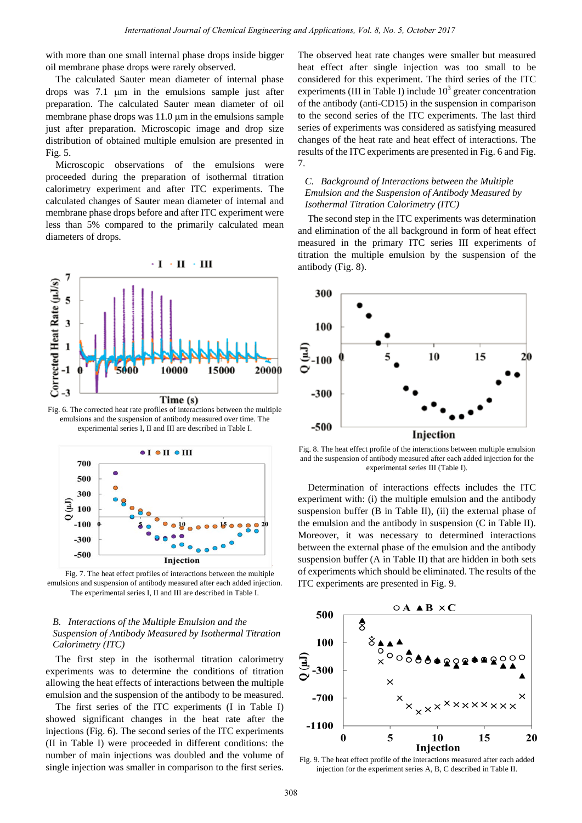with more than one small internal phase drops inside bigger oil membrane phase drops were rarely observed.

The calculated Sauter mean diameter of internal phase drops was 7.1 µm in the emulsions sample just after preparation. The calculated Sauter mean diameter of oil membrane phase drops was 11.0  $\mu$ m in the emulsions sample just after preparation. Microscopic image and drop size distribution of obtained multiple emulsion are presented in Fig. 5.

Microscopic observations of the emulsions were proceeded during the preparation of isothermal titration calorimetry experiment and after ITC experiments. The calculated changes of Sauter mean diameter of internal and membrane phase drops before and after ITC experiment were less than 5% compared to the primarily calculated mean diameters of drops.



Fig. 6. The corrected heat rate profiles of interactions between the multiple emulsions and the suspension of antibody measured over time. The experimental series I, II and III are described in Table I.



Fig. 7. The heat effect profiles of interactions between the multiple emulsions and suspension of antibody measured after each added injection. The experimental series I, II and III are described in Table I.

# *B. Interactions of the Multiple Emulsion and the Suspension of Antibody Measured by Isothermal Titration Calorimetry (ITC)*

The first step in the isothermal titration calorimetry experiments was to determine the conditions of titration allowing the heat effects of interactions between the multiple emulsion and the suspension of the antibody to be measured.

The first series of the ITC experiments (I in Table I) showed significant changes in the heat rate after the injections (Fig. 6). The second series of the ITC experiments (II in Table I) were proceeded in different conditions: the number of main injections was doubled and the volume of single injection was smaller in comparison to the first series. The observed heat rate changes were smaller but measured heat effect after single injection was too small to be considered for this experiment. The third series of the ITC experiments (III in Table I) include  $10<sup>3</sup>$  greater concentration of the antibody (anti-CD15) in the suspension in comparison to the second series of the ITC experiments. The last third series of experiments was considered as satisfying measured changes of the heat rate and heat effect of interactions. The results of the ITC experiments are presented in Fig. 6 and Fig. 7.

# *C. Background of Interactions between the Multiple Emulsion and the Suspension of Antibody Measured by Isothermal Titration Calorimetry (ITC)*

The second step in the ITC experiments was determination and elimination of the all background in form of heat effect measured in the primary ITC series III experiments of titration the multiple emulsion by the suspension of the antibody (Fig. 8).



Fig. 8. The heat effect profile of the interactions between multiple emulsion and the suspension of antibody measured after each added injection for the experimental series III (Table I).

Determination of interactions effects includes the ITC experiment with: (i) the multiple emulsion and the antibody suspension buffer (B in Table II), (ii) the external phase of the emulsion and the antibody in suspension (C in Table II). Moreover, it was necessary to determined interactions between the external phase of the emulsion and the antibody suspension buffer (A in Table II) that are hidden in both sets of experiments which should be eliminated. The results of the ITC experiments are presented in Fig. 9.



Fig. 9. The heat effect profile of the interactions measured after each added injection for the experiment series A, B, C described in Table II.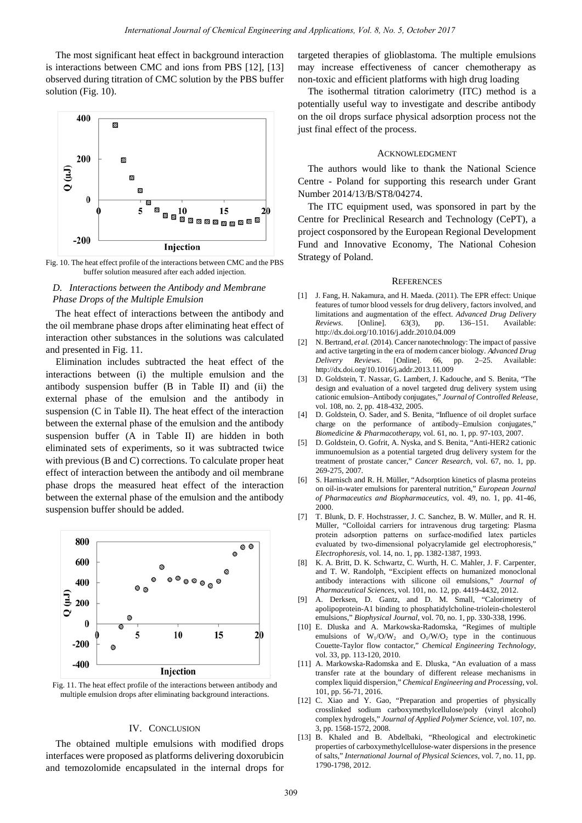The most significant heat effect in background interaction is interactions between CMC and ions from PBS [12], [13] observed during titration of CMC solution by the PBS buffer solution (Fig. 10).



Fig. 10. The heat effect profile of the interactions between CMC and the PBS buffer solution measured after each added injection.

# *D. Interactions between the Antibody and Membrane Phase Drops of the Multiple Emulsion*

The heat effect of interactions between the antibody and the oil membrane phase drops after eliminating heat effect of interaction other substances in the solutions was calculated and presented in Fig. 11.

Elimination includes subtracted the heat effect of the interactions between (i) the multiple emulsion and the antibody suspension buffer (B in Table II) and (ii) the external phase of the emulsion and the antibody in suspension (C in Table II). The heat effect of the interaction between the external phase of the emulsion and the antibody suspension buffer (A in Table II) are hidden in both eliminated sets of experiments, so it was subtracted twice with previous (B and C) corrections. To calculate proper heat effect of interaction between the antibody and oil membrane phase drops the measured heat effect of the interaction between the external phase of the emulsion and the antibody suspension buffer should be added.



Fig. 11. The heat effect profile of the interactions between antibody and multiple emulsion drops after eliminating background interactions.

#### IV. CONCLUSION

The obtained multiple emulsions with modified drops interfaces were proposed as platforms delivering doxorubicin and temozolomide encapsulated in the internal drops for

targeted therapies of glioblastoma. The multiple emulsions may increase effectiveness of cancer chemotherapy as non-toxic and efficient platforms with high drug loading

The isothermal titration calorimetry (ITC) method is a potentially useful way to investigate and describe antibody on the oil drops surface physical adsorption process not the just final effect of the process.

#### ACKNOWLEDGMENT

The authors would like to thank the National Science Centre - Poland for supporting this research under Grant Number 2014/13/B/ST8/04274.

The ITC equipment used, was sponsored in part by the Centre for Preclinical Research and Technology (CePT), a project cosponsored by the European Regional Development Fund and Innovative Economy, The National Cohesion Strategy of Poland.

#### **REFERENCES**

- [1] J. Fang, H. Nakamura, and H. Maeda. (2011). The EPR effect: Unique features of tumor blood vessels for drug delivery, factors involved, and limitations and augmentation of the effect. *Advanced Drug Delivery Reviews*. [Online]. 63(3), pp. 136–151. Available: http://dx.doi.org/10.1016/j.addr.2010.04.009
- [2] N. Bertrand, *et al.* (2014). Cancer nanotechnology: The impact of passive and active targeting in the era of modern cancer biology. *Advanced Drug Delivery Reviews*. [Online]. 66, pp. 2–25. Available: http://dx.doi.org/10.1016/j.addr.2013.11.009
- [3] D. Goldstein, T. Nassar, G. Lambert, J. Kadouche, and S. Benita, "The design and evaluation of a novel targeted drug delivery system using cationic emulsion–Antibody conjugates," *Journal of Controlled Release*, vol. 108, no. 2, pp. 418-432, 2005.
- [4] D. Goldstein, O. Sader, and S. Benita, "Influence of oil droplet surface charge on the performance of antibody–Emulsion conjugates," *Biomedicine & Pharmacotherapy*, vol. 61, no. 1, pp. 97-103, 2007.
- [5] D. Goldstein, O. Gofrit, A. Nyska, and S. Benita, "Anti-HER2 cationic immunoemulsion as a potential targeted drug delivery system for the treatment of prostate cancer," *Cancer Research*, vol. 67, no. 1, pp. 269-275, 2007.
- [6] S. Harnisch and R. H. Müller, "Adsorption kinetics of plasma proteins on oil-in-water emulsions for parenteral nutrition," *European Journal of Pharmaceutics and Biopharmaceutics*, vol. 49, no. 1, pp. 41-46, 2000.
- [7] T. Blunk, D. F. Hochstrasser, J. C. Sanchez, B. W. Müller, and R. H. Müller, "Colloidal carriers for intravenous drug targeting: Plasma protein adsorption patterns on surface-modified latex particles evaluated by two-dimensional polyacrylamide gel electrophoresis," *Electrophoresis*, vol. 14, no. 1, pp. 1382-1387, 1993.
- [8] K. A. Britt, D. K. Schwartz, C. Wurth, H. C. Mahler, J. F. Carpenter, and T. W. Randolph, "Excipient effects on humanized monoclonal antibody interactions with silicone oil emulsions," *Journal of Pharmaceutical Sciences*, vol. 101, no. 12, pp. 4419-4432, 2012.
- [9] A. Derksen, D. Gantz, and D. M. Small, "Calorimetry of apolipoprotein-A1 binding to phosphatidylcholine-triolein-cholesterol emulsions," *Biophysical Journal*, vol. 70, no. 1, pp. 330-338, 1996.
- [10] E. Dluska and A. Markowska-Radomska, "Regimes of multiple emulsions of  $W_1/O/W_2$  and  $O_1/W/O_2$  type in the continuous Couette-Taylor flow contactor," *Chemical Engineering Technology*, vol. 33, pp. 113-120, 2010.
- [11] A. Markowska-Radomska and E. Dluska, "An evaluation of a mass transfer rate at the boundary of different release mechanisms in complex liquid dispersion," *Chemical Engineering and Processing*, vol. 101, pp. 56-71, 2016.
- [12] C. Xiao and Y. Gao, "Preparation and properties of physically crosslinked sodium carboxymethylcellulose/poly (vinyl alcohol) complex hydrogels," *Journal of Applied Polymer Science*, vol. 107, no. 3, pp. 1568-1572, 2008.
- [13] B. Khaled and B. Abdelbaki, "Rheological and electrokinetic properties of carboxymethylcellulose-water dispersions in the presence of salts," *International Journal of Physical Sciences*, vol. 7, no. 11, pp. 1790-1798, 2012.